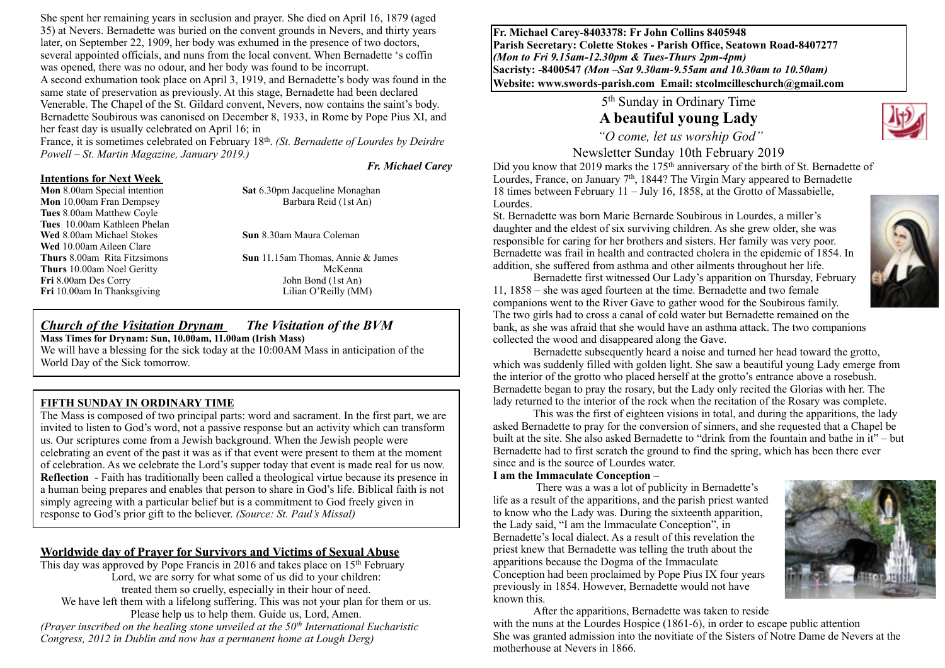She spent her remaining years in seclusion and prayer. She died on April 16, 1879 (aged 35) at Nevers. Bernadette was buried on the convent grounds in Nevers, and thirty years later, on September 22, 1909, her body was exhumed in the presence of two doctors, several appointed officials, and nuns from the local convent. When Bernadette 's coffin was opened, there was no odour, and her body was found to be incorrupt. A second exhumation took place on April 3, 1919, and Bernadette's body was found in the same state of preservation as previously. At this stage, Bernadette had been declared Venerable. The Chapel of the St. Gildard convent, Nevers, now contains the saint's body. Bernadette Soubirous was canonised on December 8, 1933, in Rome by Pope Pius XI, and her feast day is usually celebrated on April 16; in

France, it is sometimes celebrated on February 18th. *(St. Bernadette of Lourdes by Deirdre Powell – St. Martin Magazine, January 2019.)* 

#### *Fr. Michael Carey*

# **Intentions for Next Week**<br>**Mon** 8.00am Special intention

**Mon** 10.00am Fran Dempsey Barbara Reid (1st An) **Tues** 8.00am Matthew Coyle **Tues** 10.00am Kathleen Phelan **Wed** 8.00am Michael Stokes **Sun** 8.30am Maura Coleman **Wed** 10.00am Aileen Clare **Thurs** 10.00am Noel Geritty *McKenna* Fri 8.00am Des Corry John Bond (1st An) **Fri** 10.00am In Thanksgiving Lilian O'Reilly (MM)

**Sat** 6.30pm Jacqueline Monaghan

**Thurs** 8.00am Rita Fitzsimons **Sun** 11.15am Thomas, Annie & James

#### *Church of the Visitation Drynam**The Visitation of the BVM* **Mass Times for Drynam: Sun, 10.00am, 11.00am (Irish Mass)**

We will have a blessing for the sick today at the 10:00AM Mass in anticipation of the World Day of the Sick tomorrow.

#### **FIFTH SUNDAY IN ORDINARY TIME**

The Mass is composed of two principal parts: word and sacrament. In the first part, we are invited to listen to God's word, not a passive response but an activity which can transform us. Our scriptures come from a Jewish background. When the Jewish people were celebrating an event of the past it was as if that event were present to them at the moment of celebration. As we celebrate the Lord's supper today that event is made real for us now. **Reflection** - Faith has traditionally been called a theological virtue because its presence in a human being prepares and enables that person to share in God's life. Biblical faith is not simply agreeing with a particular belief but is a commitment to God freely given in response to God's prior gift to the believer. *(Source: St. Paul's Missal)*

## **Worldwide day of Prayer for Survivors and Victims of Sexual Abuse**

This day was approved by Pope Francis in 2016 and takes place on 15<sup>th</sup> February Lord, we are sorry for what some of us did to your children: treated them so cruelly, especially in their hour of need. We have left them with a lifelong suffering. This was not your plan for them or us. Please help us to help them. Guide us, Lord, Amen. *(Prayer inscribed on the healing stone unveiled at the 50th International Eucharistic Congress, 2012 in Dublin and now has a permanent home at Lough Derg)* 

**Fr. Michael Carey-8403378: Fr John Collins 8405948 Parish Secretary: Colette Stokes - Parish Office, Seatown Road-8407277**  *(Mon to Fri 9.15am-12.30pm & Tues-Thurs 2pm-4pm)*  **Sacristy: -8400547** *(Mon –Sat 9.30am-9.55am and 10.30am to 10.50am)* **Website: [www.swords-parish.com Email:](http://www.swords-parish.com%20%20email) stcolmcilleschurch@gmail.com**

> 5th Sunday in Ordinary Time **A beautiful young Lady**



 *"O come, let us worship God"*  Newsletter Sunday 10th February 2019

Did you know that 2019 marks the 175<sup>th</sup> anniversary of the birth of St. Bernadette of Lourdes, France, on January 7<sup>th</sup>, 1844? The Virgin Mary appeared to Bernadette 18 times between February 11 – July 16, 1858, at the Grotto of Massabielle, Lourdes.

St. Bernadette was born Marie Bernarde Soubirous in Lourdes, a miller's daughter and the eldest of six surviving children. As she grew older, she was responsible for caring for her brothers and sisters. Her family was very poor. Bernadette was frail in health and contracted cholera in the epidemic of 1854. In addition, she suffered from asthma and other ailments throughout her life.

Bernadette first witnessed Our Lady's apparition on Thursday, February 11, 1858 – she was aged fourteen at the time. Bernadette and two female companions went to the River Gave to gather wood for the Soubirous family. The two girls had to cross a canal of cold water but Bernadette remained on the bank, as she was afraid that she would have an asthma attack. The two companions collected the wood and disappeared along the Gave.

Bernadette subsequently heard a noise and turned her head toward the grotto, which was suddenly filled with golden light. She saw a beautiful young Lady emerge from the interior of the grotto who placed herself at the grotto's entrance above a rosebush. Bernadette began to pray the rosary, but the Lady only recited the Glorias with her. The lady returned to the interior of the rock when the recitation of the Rosary was complete.

This was the first of eighteen visions in total, and during the apparitions, the lady asked Bernadette to pray for the conversion of sinners, and she requested that a Chapel be built at the site. She also asked Bernadette to "drink from the fountain and bathe in it" – but Bernadette had to first scratch the ground to find the spring, which has been there ever since and is the source of Lourdes water.

#### **I am the Immaculate Conception –**

 There was a was a lot of publicity in Bernadette's life as a result of the apparitions, and the parish priest wanted to know who the Lady was. During the sixteenth apparition, the Lady said, "I am the Immaculate Conception", in Bernadette's local dialect. As a result of this revelation the priest knew that Bernadette was telling the truth about the apparitions because the Dogma of the Immaculate Conception had been proclaimed by Pope Pius IX four years previously in 1854. However, Bernadette would not have known this.



After the apparitions, Bernadette was taken to reside

with the nuns at the Lourdes Hospice (1861-6), in order to escape public attention She was granted admission into the novitiate of the Sisters of Notre Dame de Nevers at the motherhouse at Nevers in 1866.